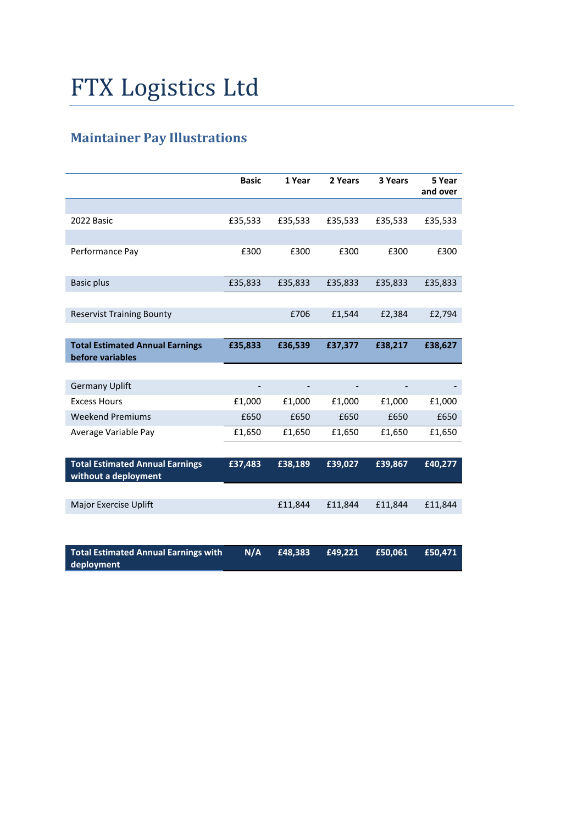## FTX Logistics Ltd

## **Maintainer Pay Illustrations**

|                                                                | <b>Basic</b> | 1 Year  | 2 Years | 3 Years | 5 Year<br>and over |
|----------------------------------------------------------------|--------------|---------|---------|---------|--------------------|
|                                                                |              |         |         |         |                    |
| 2022 Basic                                                     | £35,533      | £35,533 | £35,533 | £35,533 | £35,533            |
|                                                                |              |         |         |         |                    |
| Performance Pay                                                | £300         | £300    | £300    | £300    | £300               |
| <b>Basic plus</b>                                              | £35,833      | £35,833 | £35,833 | £35,833 | £35,833            |
|                                                                |              |         |         |         |                    |
| <b>Reservist Training Bounty</b>                               |              | £706    | £1,544  | £2,384  | £2,794             |
|                                                                |              |         |         |         |                    |
| <b>Total Estimated Annual Earnings</b><br>before variables     | £35,833      | £36,539 | £37,377 | £38,217 | £38,627            |
|                                                                |              |         |         |         |                    |
| <b>Germany Uplift</b>                                          |              |         |         |         |                    |
| <b>Excess Hours</b>                                            | £1,000       | £1,000  | £1,000  | £1,000  | £1,000             |
| <b>Weekend Premiums</b>                                        | £650         | £650    | £650    | £650    | £650               |
| Average Variable Pay                                           | £1,650       | £1,650  | £1,650  | £1,650  | £1,650             |
|                                                                |              |         |         |         |                    |
| <b>Total Estimated Annual Earnings</b><br>without a deployment | £37,483      | £38,189 | £39,027 | £39,867 | £40,277            |
|                                                                |              |         |         |         |                    |
| <b>Major Exercise Uplift</b>                                   |              | £11,844 | £11,844 | £11,844 | £11,844            |
|                                                                |              |         |         |         |                    |
| <b>Total Estimated Annual Earnings with</b><br>deployment      | N/A          | £48,383 | £49,221 | £50,061 | £50,471            |